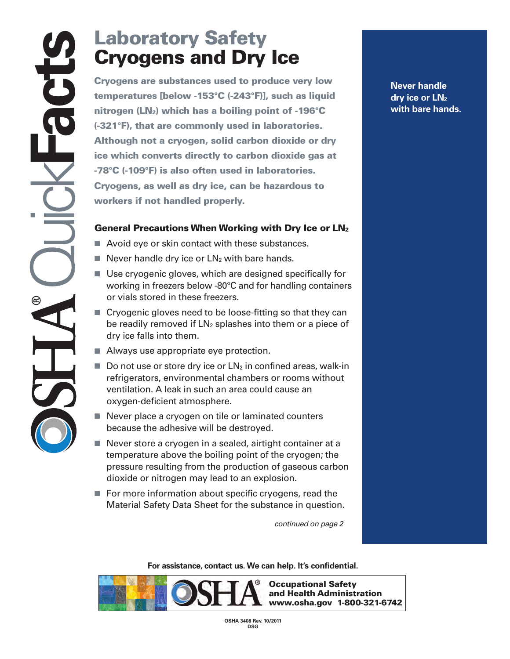## **Laboratory Safety Cryogens and Dry Ice**

**Cryogens and Dry Ice**<br>
Cryogens are substances used to produce very low<br>
temperatures [below -153°C (-243°F)], such as liquid<br>
nitrogen (LN<sub>2</sub>) which has a boiling point of -196°C<br>
(-321°F), that are commonly used in labo **temperatures [below -153°C (-243°F)], such as liquid nitrogen (LN2) which has a boiling point of -196°C (-321°F), that are commonly used in laboratories. Although not a cryogen, solid carbon dioxide or dry ice which converts directly to carbon dioxide gas at -78°C (-109°F) is also often used in laboratories. Cryogens, as well as dry ice, can be hazardous to workers if not handled properly.** 

## **General Precautions When Working with Dry Ice or LN2**

- Avoid eye or skin contact with these substances.
- Never handle dry ice or  $LN<sub>2</sub>$  with bare hands.
- Use cryogenic gloves, which are designed specifically for working in freezers below -80°C and for handling containers or vials stored in these freezers.
- Cryogenic gloves need to be loose-fitting so that they can be readily removed if  $LN<sub>2</sub>$  splashes into them or a piece of dry ice falls into them.
- Always use appropriate eye protection.
- $\blacksquare$  Do not use or store dry ice or  $LN_2$  in confined areas, walk-in refrigerators, environmental chambers or rooms without ventilation. A leak in such an area could cause an oxygen-deficient atmosphere.
- Never place a cryogen on tile or laminated counters because the adhesive will be destroyed.
- Never store a cryogen in a sealed, airtight container at a temperature above the boiling point of the cryogen; the pressure resulting from the production of gaseous carbon dioxide or nitrogen may lead to an explosion.
- For more information about specific cryogens, read the Material Safety Data Sheet for the substance in question.

*continued on page 2* 

**For assistance, contact us. We can help. It's confidential.** 



**Never handle dry ice or LN2 with bare hands.** 

**OSHA 3408 Rev. 10/2011 DSG**